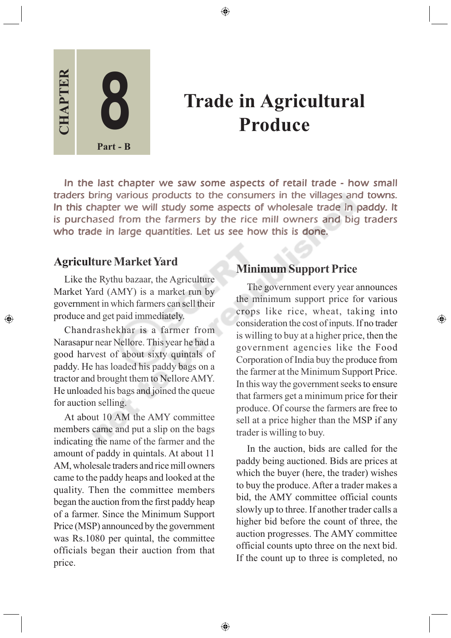

# **Trade in Agricultural Produce**

In the last chapter we saw some aspects of retail trade - how small traders bring various products to the consumers in the villages and towns. In this chapter we will study some aspects of wholesale trade in paddy. It is purchased from the farmers by the rice mill owners and big traders who trade in large quantities. Let us see how this is done.

⊕

#### **Agriculture Market Yard**

◈

Like the Rythu bazaar, the Agriculture Market Yard (AMY) is a market run by government in which farmers can sell their produce and get paid immediately.

Chandrashekhar is a farmer from Narasapur near Nellore. This year he had a good harvest of about sixty quintals of paddy. He has loaded his paddy bags on a tractor and brought them to Nellore AMY. He unloaded his bags and joined the queue for auction selling.

At about 10 AM the AMY committee members came and put a slip on the bags indicating the name of the farmer and the amount of paddy in quintals. At about 11 AM, wholesale traders and rice mill owners came to the paddy heaps and looked at the quality. Then the committee members began the auction from the first paddy heap of a farmer. Since the Minimum Support Price (MSP) announced by the government was Rs.1080 per quintal, the committee officials began their auction from that price.

#### **Minimum Support Price**

The government every year announces the minimum support price for various crops like rice, wheat, taking into consideration the cost of inputs. If no trader is willing to buy at a higher price, then the government agencies like the Food Corporation of India buy the produce from the farmer at the Minimum Support Price. In this way the government seeks to ensure that farmers get a minimum price for their produce. Of course the farmers are free to sell at a price higher than the MSP if any trader is willing to buy.

⊕

In the auction, bids are called for the paddy being auctioned. Bids are prices at which the buyer (here, the trader) wishes to buy the produce. After a trader makes a bid, the AMY committee official counts slowly up to three. If another trader calls a higher bid before the count of three, the auction progresses. The AMY committee official counts upto three on the next bid. If the count up to three is completed, no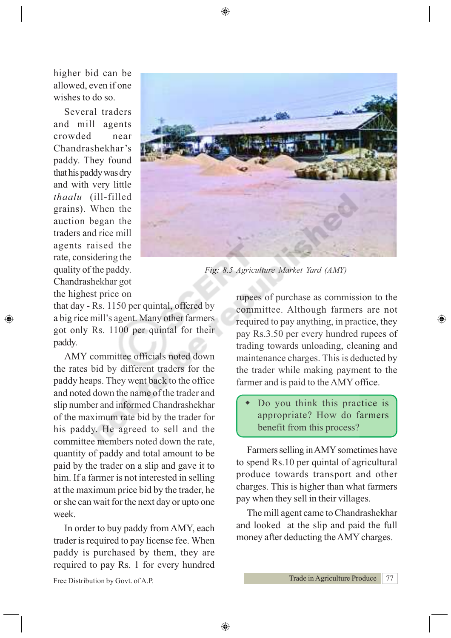

*Fig: 8.5 Agriculture Market Yard (AMY)*

higher bid can be allowed, even if one wishes to do so.

Several traders and mill agents crowded near Chandrashekhar's paddy. They found that his paddy was dry and with very little *thaalu* (ill-filled grains). When the auction began the traders and rice mill agents raised the rate, considering the quality of the paddy. Chandrashekhar got the highest price on

⊕

that day - Rs. 1150 per quintal, offered by a big rice mill's agent. Many other farmers got only Rs. 1100 per quintal for their paddy.

AMY committee officials noted down the rates bid by different traders for the paddy heaps. They went back to the office and noted down the name of the trader and slip number and informed Chandrashekhar of the maximum rate bid by the trader for his paddy. He agreed to sell and the committee members noted down the rate, quantity of paddy and total amount to be paid by the trader on a slip and gave it to him. If a farmer is not interested in selling at the maximum price bid by the trader, he or she can wait for the next day or upto one week.

In order to buy paddy from AMY, each trader is required to pay license fee. When paddy is purchased by them, they are required to pay Rs. 1 for every hundred

Free Distribution by Govt. of A.P.

rupees of purchase as commission to the committee. Although farmers are not required to pay anything, in practice, they pay Rs.3.50 per every hundred rupees of trading towards unloading, cleaning and maintenance charges. This is deducted by the trader while making payment to the farmer and is paid to the AMY office.

⊕

 Do you think this practice is appropriate? How do farmers benefit from this process?

Farmers selling in AMY sometimes have to spend Rs.10 per quintal of agricultural produce towards transport and other charges. This is higher than what farmers pay when they sell in their villages.

The mill agent came to Chandrashekhar and looked at the slip and paid the full money after deducting the AMY charges.

◈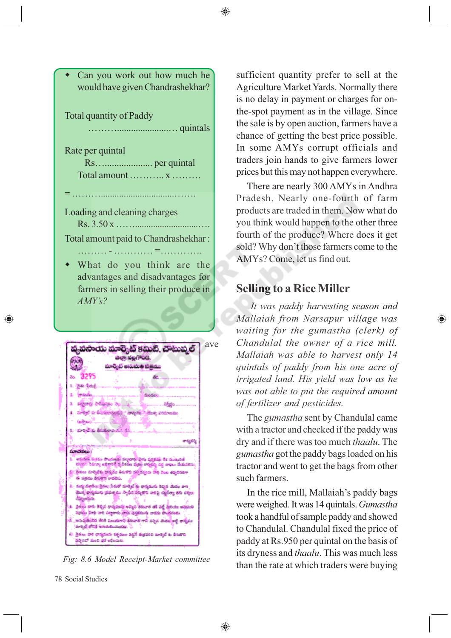



వైకలు పారి రాషనులు రక్తమం వద్దరే వడపుల మార్కెక ఒ కిలుకాల

agast not as open.

◈

sufficient quantity prefer to sell at the Agriculture Market Yards. Normally there is no delay in payment or charges for onthe-spot payment as in the village. Since the sale is by open auction, farmers have a chance of getting the best price possible. In some AMYs corrupt officials and traders join hands to give farmers lower prices but this may not happen everywhere.

There are nearly 300 AMYs in Andhra Pradesh. Nearly one-fourth of farm products are traded in them. Now what do you think would happen to the other three fourth of the produce? Where does it get sold? Why don't those farmers come to the AMYs? Come, let us find out.

#### **Selling to a Rice Miller**

*It was paddy harvesting season and Mallaiah from Narsapur village was waiting for the gumastha (clerk) of Chandulal the owner of a rice mill. Mallaiah was able to harvest only 14 quintals of paddy from his one acre of irrigated land. His yield was low as he was not able to put the required amount of fertilizer and pesticides.*

⊕

The *gumastha* sent by Chandulal came with a tractor and checked if the paddy was dry and if there was too much *thaalu*. The *gumastha* got the paddy bags loaded on his tractor and went to get the bags from other such farmers.

In the rice mill, Mallaiah's paddy bags were weighed. It was 14 quintals. *Gumastha* took a handful of sample paddy and showed to Chandulal. Chandulal fixed the price of paddy at Rs.950 per quintal on the basis of its dryness and *thaalu*. This was much less Fig: 8.6 Model Receipt-Market committee<br>than the rate at which traders were buying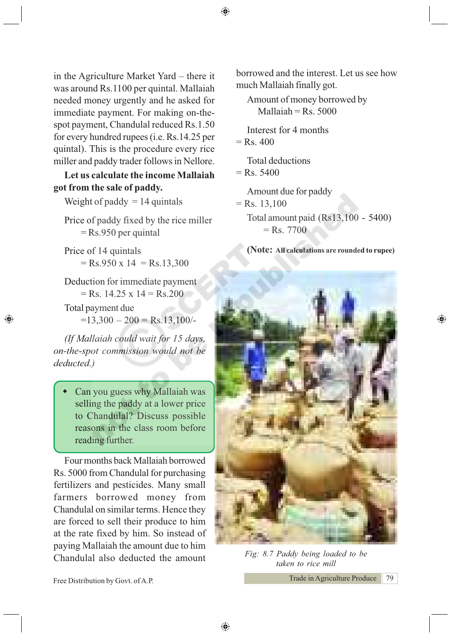in the Agriculture Market Yard – there it was around Rs.1100 per quintal. Mallaiah needed money urgently and he asked for immediate payment. For making on-thespot payment, Chandulal reduced Rs.1.50 for every hundred rupees (i.e. Rs.14.25 per quintal). This is the procedure every rice miller and paddy trader follows in Nellore.

**Let us calculate the income Mallaiah got from the sale of paddy.**

Weight of paddy  $= 14$  quintals

Price of paddy fixed by the rice miller = Rs.950 per quintal

Price of 14 quintals  $=$  Rs.950 x 14 = Rs.13,300

Deduction for immediate payment  $=$  Rs. 14.25 x 14 = Rs. 200

Total payment due  $=13,300 - 200 = \text{Rs}.13,100/$ 

◈

*(If Mallaiah could wait for 15 days, on-the-spot commission would not be deducted.)*

 Can you guess why Mallaiah was selling the paddy at a lower price to Chandulal? Discuss possible reasons in the class room before reading further.

Four months back Mallaiah borrowed Rs. 5000 from Chandulal for purchasing fertilizers and pesticides. Many small farmers borrowed money from Chandulal on similar terms. Hence they are forced to sell their produce to him at the rate fixed by him. So instead of paying Mallaiah the amount due to him Chandulal also deducted the amount *Fig: 8.7 Paddy being loaded to be*

Free Distribution by Govt. of A.P.

borrowed and the interest. Let us see how much Mallaiah finally got.

Amount of money borrowed by  $Mallaiah = Rs. 5000$ 

Interest for 4 months  $=$  Rs. 400

Total deductions

 $=$  Rs. 5400

Amount due for paddy

 $=$  Rs. 13,100 Total amount paid (Rs13,100 - 5400)  $=$  Rs. 7700

**(Note: All calculations are rounded to rupee)**

⊕



*taken to rice mill*

◈

Trade in Agriculture Produce 79

⊕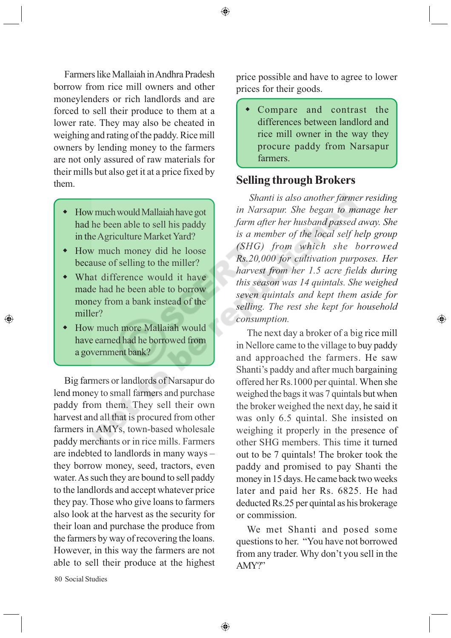Farmers like Mallaiah in Andhra Pradesh borrow from rice mill owners and other moneylenders or rich landlords and are forced to sell their produce to them at a lower rate. They may also be cheated in weighing and rating of the paddy. Rice mill owners by lending money to the farmers are not only assured of raw materials for their mills but also get it at a price fixed by them.

- How much would Mallaiah have got had he been able to sell his paddy in the Agriculture Market Yard?
- How much money did he loose because of selling to the miller?
- What difference would it have made had he been able to borrow money from a bank instead of the miller?
- How much more Mallaiah would have earned had he borrowed from a government bank?

Big farmers or landlords of Narsapur do lend money to small farmers and purchase paddy from them. They sell their own harvest and all that is procured from other farmers in AMYs, town-based wholesale paddy merchants or in rice mills. Farmers are indebted to landlords in many ways – they borrow money, seed, tractors, even water. As such they are bound to sell paddy to the landlords and accept whatever price they pay. Those who give loans to farmers also look at the harvest as the security for their loan and purchase the produce from the farmers by way of recovering the loans. However, in this way the farmers are not able to sell their produce at the highest

80 Social Studies

⊕

price possible and have to agree to lower prices for their goods.

 Compare and contrast the differences between landlord and rice mill owner in the way they procure paddy from Narsapur farmers.

#### **Selling through Brokers**

*Shanti is also another farmer residing in Narsapur. She began to manage her farm after her husband passed away. She is a member of the local self help group (SHG) from which she borrowed Rs.20,000 for cultivation purposes. Her harvest from her 1.5 acre fields during this season was 14 quintals. She weighed seven quintals and kept them aside for selling. The rest she kept for household consumption.*

◈

The next day a broker of a big rice mill in Nellore came to the village to buy paddy and approached the farmers. He saw Shanti's paddy and after much bargaining offered her Rs.1000 per quintal. When she weighed the bags it was 7 quintals but when the broker weighed the next day, he said it was only 6.5 quintal. She insisted on weighing it properly in the presence of other SHG members. This time it turned out to be 7 quintals! The broker took the paddy and promised to pay Shanti the money in 15 days. He came back two weeks later and paid her Rs. 6825. He had deducted Rs.25 per quintal as his brokerage or commission.

We met Shanti and posed some questions to her. "You have not borrowed from any trader. Why don't you sell in the AMY?"

◈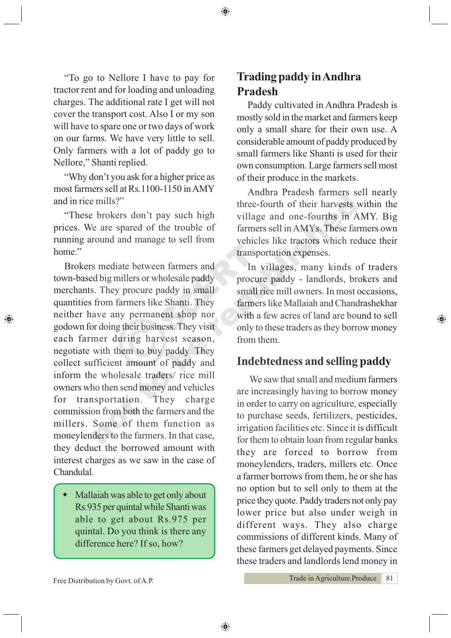"To go to Nellore I have to pay for tractor rent and for loading and unloading charges. The additional rate I get will not cover the transport cost. Also I or my son will have to spare one or two days of work on our farms. We have very little to sell. Only farmers with a lot of paddy go to Nellore," Shanti replied.

"Why don't you ask for a higher price as most farmers sell at Rs.1100-1150 in AMY and in rice mills?"

"These brokers don't pay such high prices. We are spared of the trouble of running around and manage to sell from home."

Brokers mediate between farmers and town-based big millers or wholesale paddy merchants. They procure paddy in small quantities from farmers like Shanti. They neither have any permanent shop nor godown for doing their business. They visit each farmer during harvest season, negotiate with them to buy paddy. They collect sufficient amount of paddy and inform the wholesale traders/ rice mill owners who then send money and vehicles for transportation. They charge commission from both the farmers and the millers. Some of them function as moneylenders to the farmers. In that case, they deduct the borrowed amount with interest charges as we saw in the case of Chandulal.

◈

 Mallaiah was able to get only about Rs.935 per quintal while Shanti was able to get about Rs.975 per quintal. Do you think is there any difference here? If so, how?

## **Trading paddy in Andhra Pradesh**

Paddy cultivated in Andhra Pradesh is mostly sold in the market and farmers keep only a small share for their own use. A considerable amount of paddy produced by small farmers like Shanti is used for their own consumption. Large farmers sell most of their produce in the markets.

Andhra Pradesh farmers sell nearly three-fourth of their harvests within the village and one-fourths in AMY. Big farmers sell in AMYs. These farmers own vehicles like tractors which reduce their transportation expenses.

In villages, many kinds of traders procure paddy - landlords, brokers and small rice mill owners. In most occasions, farmers like Mallaiah and Chandrashekhar with a few acres of land are bound to sell only to these traders as they borrow money from them.

⊕

### **Indebtedness and selling paddy**

We saw that small and medium farmers are increasingly having to borrow money in order to carry on agriculture, especially to purchase seeds, fertilizers, pesticides, irrigation facilities etc. Since it is difficult for them to obtain loan from regular banks they are forced to borrow from moneylenders, traders, millers etc. Once a farmer borrows from them, he or she has no option but to sell only to them at the price they quote. Paddy traders not only pay lower price but also under weigh in different ways. They also charge commissions of different kinds. Many of these farmers get delayed payments. Since these traders and landlords lend money in

Free Distribution by Govt. of A.P.

Trade in Agriculture Produce 81

◈